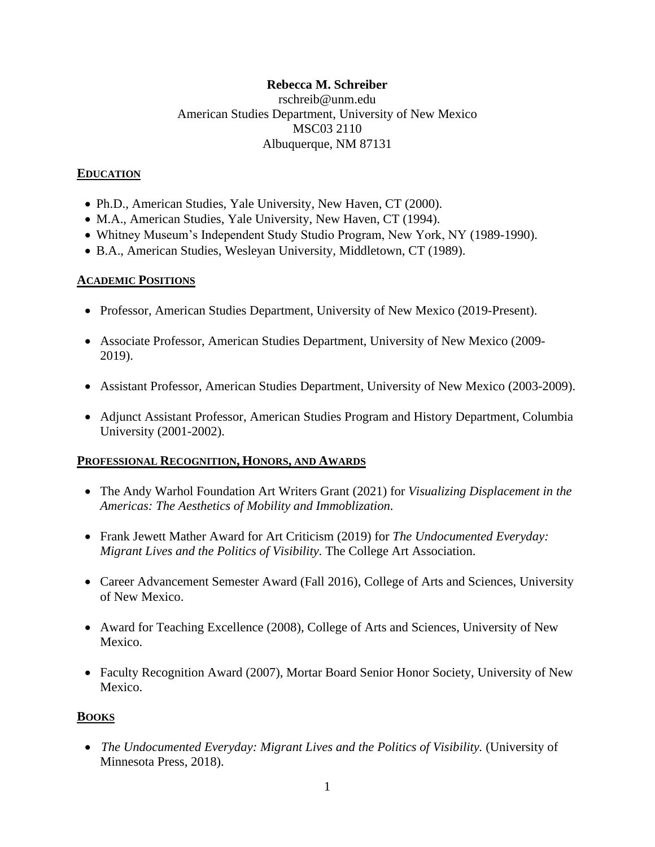### **Rebecca M. Schreiber**

rschreib@unm.edu American Studies Department, University of New Mexico MSC03 2110 Albuquerque, NM 87131

#### **EDUCATION**

- Ph.D., American Studies, Yale University, New Haven, CT (2000).
- M.A., American Studies, Yale University, New Haven, CT (1994).
- Whitney Museum's Independent Study Studio Program, New York, NY (1989-1990).
- B.A., American Studies, Wesleyan University, Middletown, CT (1989).

#### **ACADEMIC POSITIONS**

- Professor, American Studies Department, University of New Mexico (2019-Present).
- Associate Professor, American Studies Department, University of New Mexico (2009- 2019).
- Assistant Professor, American Studies Department, University of New Mexico (2003-2009).
- Adjunct Assistant Professor, American Studies Program and History Department, Columbia University (2001-2002).

#### **PROFESSIONAL RECOGNITION, HONORS, AND AWARDS**

- The Andy Warhol Foundation Art Writers Grant (2021) for *Visualizing Displacement in the Americas: The Aesthetics of Mobility and Immoblization.*
- Frank Jewett Mather Award for Art Criticism (2019) for *The Undocumented Everyday: Migrant Lives and the Politics of Visibility.* The College Art Association.
- Career Advancement Semester Award (Fall 2016), College of Arts and Sciences, University of New Mexico.
- Award for Teaching Excellence (2008), College of Arts and Sciences, University of New Mexico.
- Faculty Recognition Award (2007), Mortar Board Senior Honor Society, University of New Mexico.

#### **BOOKS**

• *The Undocumented Everyday: Migrant Lives and the Politics of Visibility.* (University of Minnesota Press, 2018).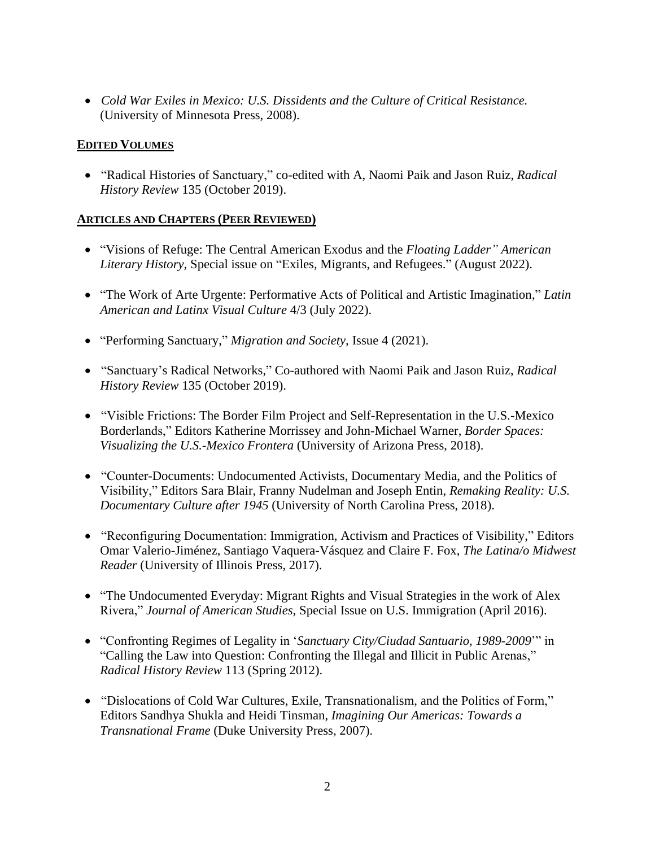• *Cold War Exiles in Mexico: U.S. Dissidents and the Culture of Critical Resistance.*  (University of Minnesota Press, 2008).

## **EDITED VOLUMES**

• "Radical Histories of Sanctuary," co-edited with A, Naomi Paik and Jason Ruiz, *Radical History Review* 135 (October 2019).

### **ARTICLES AND CHAPTERS (PEER REVIEWED)**

- "Visions of Refuge: The Central American Exodus and the *Floating Ladder" American Literary History,* Special issue on "Exiles, Migrants, and Refugees." (August 2022).
- "The Work of Arte Urgente: Performative Acts of Political and Artistic Imagination," *Latin American and Latinx Visual Culture* 4/3 (July 2022).
- "Performing Sanctuary," *Migration and Society,* Issue 4 (2021).
- "Sanctuary's Radical Networks," Co-authored with Naomi Paik and Jason Ruiz, *Radical History Review* 135 (October 2019).
- "Visible Frictions: The Border Film Project and Self-Representation in the U.S.-Mexico Borderlands," Editors Katherine Morrissey and John-Michael Warner, *Border Spaces: Visualizing the U.S.-Mexico Frontera* (University of Arizona Press, 2018).
- "Counter-Documents: Undocumented Activists, Documentary Media, and the Politics of Visibility," Editors Sara Blair, Franny Nudelman and Joseph Entin, *Remaking Reality: U.S. Documentary Culture after 1945* (University of North Carolina Press, 2018).
- "Reconfiguring Documentation: Immigration, Activism and Practices of Visibility," Editors Omar Valerio-Jiménez, Santiago Vaquera-Vásquez and Claire F. Fox, *The Latina/o Midwest Reader* (University of Illinois Press, 2017).
- "The Undocumented Everyday: Migrant Rights and Visual Strategies in the work of Alex Rivera," *Journal of American Studies,* Special Issue on U.S. Immigration (April 2016).
- "Confronting Regimes of Legality in '*Sanctuary City/Ciudad Santuario, 1989-2009*'" in "Calling the Law into Question: Confronting the Illegal and Illicit in Public Arenas," *Radical History Review* 113 (Spring 2012).
- "Dislocations of Cold War Cultures, Exile, Transnationalism, and the Politics of Form," Editors Sandhya Shukla and Heidi Tinsman, *Imagining Our Americas: Towards a Transnational Frame* (Duke University Press, 2007).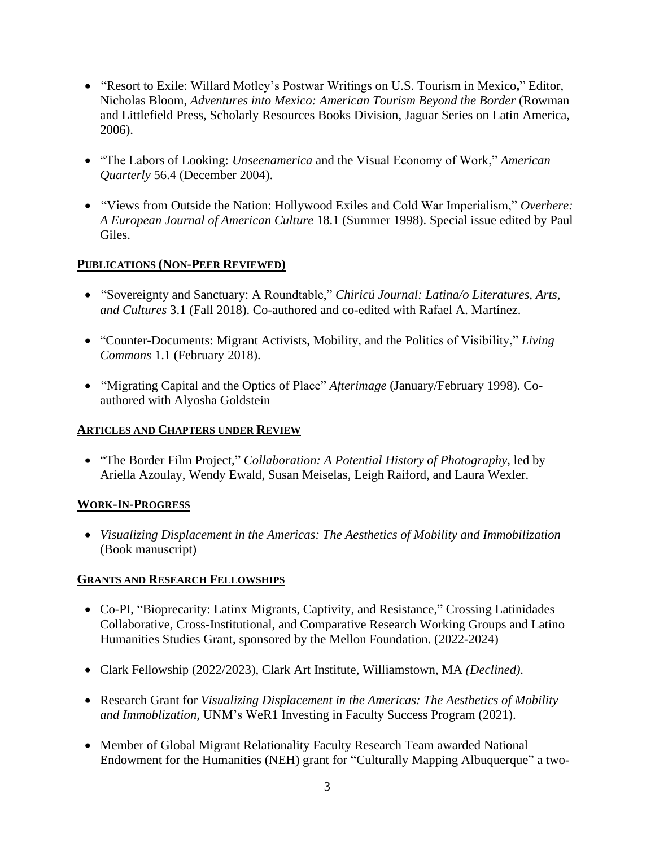- "Resort to Exile: Willard Motley's Postwar Writings on U.S. Tourism in Mexico**,**" Editor, Nicholas Bloom, *Adventures into Mexico: American Tourism Beyond the Border* (Rowman and Littlefield Press, Scholarly Resources Books Division, Jaguar Series on Latin America, 2006).
- "The Labors of Looking: *Unseenamerica* and the Visual Economy of Work," *American Quarterly* 56.4 (December 2004).
- "Views from Outside the Nation: Hollywood Exiles and Cold War Imperialism," *Overhere: A European Journal of American Culture* 18.1 (Summer 1998). Special issue edited by Paul Giles.

# **PUBLICATIONS (NON-PEER REVIEWED)**

- "Sovereignty and Sanctuary: A Roundtable," *Chiricú Journal: Latina/o Literatures, Arts, and Cultures* 3.1 (Fall 2018). Co-authored and co-edited with Rafael A. Martínez.
- "Counter-Documents: Migrant Activists, Mobility, and the Politics of Visibility," *[Living](https://www.rebeccamschreiber.com/wp-content/uploads/2019/01/Counter-Documents-in-Remaking-Reality2.pdf)  Commons* 1.1 [\(February 2018\).](https://www.rebeccamschreiber.com/wp-content/uploads/2019/01/Counter-Documents-in-Remaking-Reality2.pdf)
- "Migrating Capital and the Optics of Place" *Afterimage* (January/February 1998). Coauthored with Alyosha Goldstein

## **ARTICLES AND CHAPTERS UNDER REVIEW**

• "The Border Film Project," *Collaboration: A Potential History of Photography,* led by Ariella Azoulay, Wendy Ewald, Susan Meiselas, Leigh Raiford, and Laura Wexler.

## **WORK-IN-PROGRESS**

• *Visualizing Displacement in the Americas: The Aesthetics of Mobility and Immobilization* (Book manuscript)

## **GRANTS AND RESEARCH FELLOWSHIPS**

- Co-PI, "Bioprecarity: Latinx Migrants, Captivity, and Resistance," Crossing Latinidades Collaborative, Cross-Institutional, and Comparative Research Working Groups and Latino Humanities Studies Grant, sponsored by the Mellon Foundation. (2022-2024)
- Clark Fellowship (2022/2023), Clark Art Institute, Williamstown, MA *(Declined).*
- Research Grant for *Visualizing Displacement in the Americas: The Aesthetics of Mobility and Immoblization,* UNM's WeR1 Investing in Faculty Success Program (2021).
- Member of Global Migrant Relationality Faculty Research Team awarded National Endowment for the Humanities (NEH) grant for "Culturally Mapping Albuquerque" a two-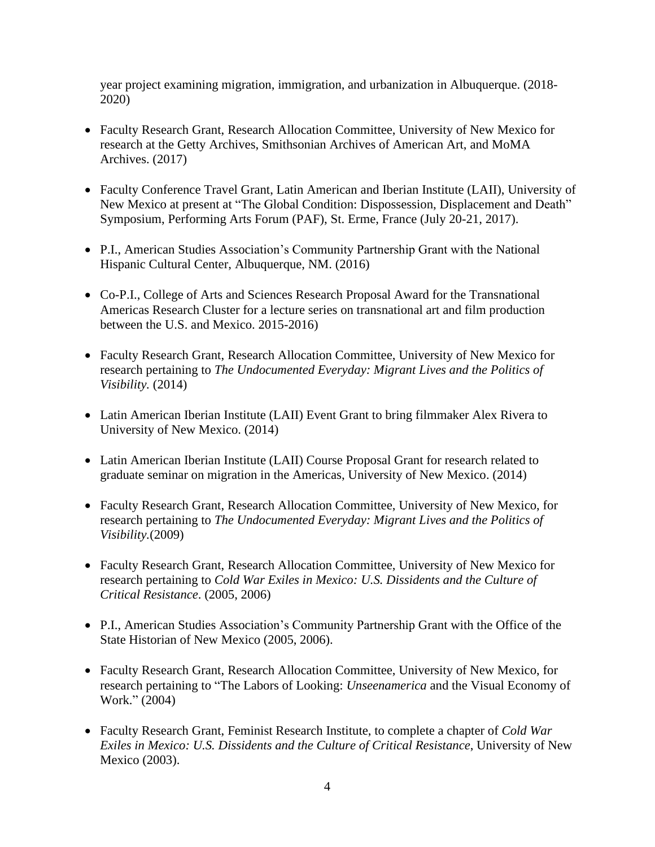year project examining migration, immigration, and urbanization in Albuquerque. (2018- 2020)

- Faculty Research Grant, Research Allocation Committee, University of New Mexico for research at the Getty Archives, Smithsonian Archives of American Art, and MoMA Archives. (2017)
- Faculty Conference Travel Grant, Latin American and Iberian Institute (LAII), University of New Mexico at present at "The Global Condition: Dispossession, Displacement and Death" Symposium, Performing Arts Forum (PAF), St. Erme, France (July 20-21, 2017).
- P.I., American Studies Association's Community Partnership Grant with the National Hispanic Cultural Center, Albuquerque, NM. (2016)
- Co-P.I., College of Arts and Sciences Research Proposal Award for the Transnational Americas Research Cluster for a lecture series on transnational art and film production between the U.S. and Mexico. 2015-2016)
- Faculty Research Grant, Research Allocation Committee, University of New Mexico for research pertaining to *The Undocumented Everyday: Migrant Lives and the Politics of Visibility.* (2014)
- Latin American Iberian Institute (LAII) Event Grant to bring filmmaker Alex Rivera to University of New Mexico. (2014)
- Latin American Iberian Institute (LAII) Course Proposal Grant for research related to graduate seminar on migration in the Americas, University of New Mexico. (2014)
- Faculty Research Grant, Research Allocation Committee, University of New Mexico, for research pertaining to *The Undocumented Everyday: Migrant Lives and the Politics of Visibility.*(2009)
- Faculty Research Grant, Research Allocation Committee, University of New Mexico for research pertaining to *Cold War Exiles in Mexico: U.S. Dissidents and the Culture of Critical Resistance*. (2005, 2006)
- P.I., American Studies Association's Community Partnership Grant with the Office of the State Historian of New Mexico (2005, 2006).
- Faculty Research Grant, Research Allocation Committee, University of New Mexico, for research pertaining to "The Labors of Looking: *Unseenamerica* and the Visual Economy of Work." (2004)
- Faculty Research Grant, Feminist Research Institute, to complete a chapter of *Cold War Exiles in Mexico: U.S. Dissidents and the Culture of Critical Resistance*, University of New Mexico (2003).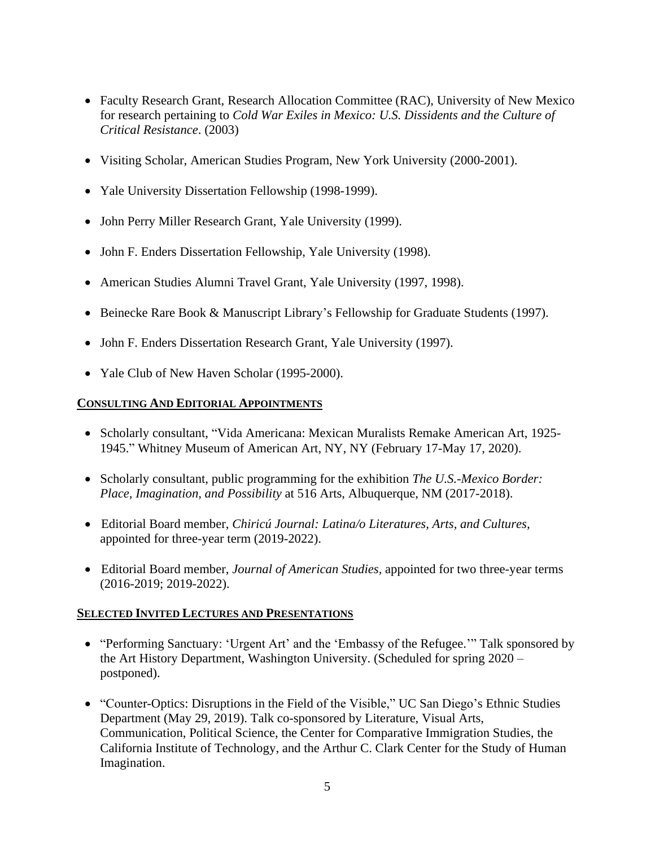- Faculty Research Grant, Research Allocation Committee (RAC), University of New Mexico for research pertaining to *Cold War Exiles in Mexico: U.S. Dissidents and the Culture of Critical Resistance*. (2003)
- Visiting Scholar, American Studies Program, New York University (2000-2001).
- Yale University Dissertation Fellowship (1998-1999).
- John Perry Miller Research Grant, Yale University (1999).
- John F. Enders Dissertation Fellowship, Yale University (1998).
- American Studies Alumni Travel Grant, Yale University (1997, 1998).
- Beinecke Rare Book & Manuscript Library's Fellowship for Graduate Students (1997).
- John F. Enders Dissertation Research Grant, Yale University (1997).
- Yale Club of New Haven Scholar (1995-2000).

### **CONSULTING AND EDITORIAL APPOINTMENTS**

- Scholarly consultant, "Vida Americana: Mexican Muralists Remake American Art, 1925- 1945." Whitney Museum of American Art, NY, NY (February 17-May 17, 2020).
- Scholarly consultant, public programming for the exhibition *The U.S.-Mexico Border: Place, Imagination, and Possibility* at 516 Arts, Albuquerque, NM (2017-2018).
- Editorial Board member, *Chiricú Journal: Latina/o Literatures, Arts, and Cultures,*  appointed for three-year term (2019-2022).
- Editorial Board member, *Journal of American Studies,* appointed for two three-year terms (2016-2019; 2019-2022).

#### **SELECTED INVITED LECTURES AND PRESENTATIONS**

- "Performing Sanctuary: 'Urgent Art' and the 'Embassy of the Refugee.'" Talk sponsored by the Art History Department, Washington University. (Scheduled for spring 2020 – postponed).
- "Counter-Optics: Disruptions in the Field of the Visible," UC San Diego's Ethnic Studies Department (May 29, 2019). Talk co-sponsored by Literature, Visual Arts, Communication, Political Science, the Center for Comparative Immigration Studies, the California Institute of Technology, and the Arthur C. Clark Center for the Study of Human Imagination.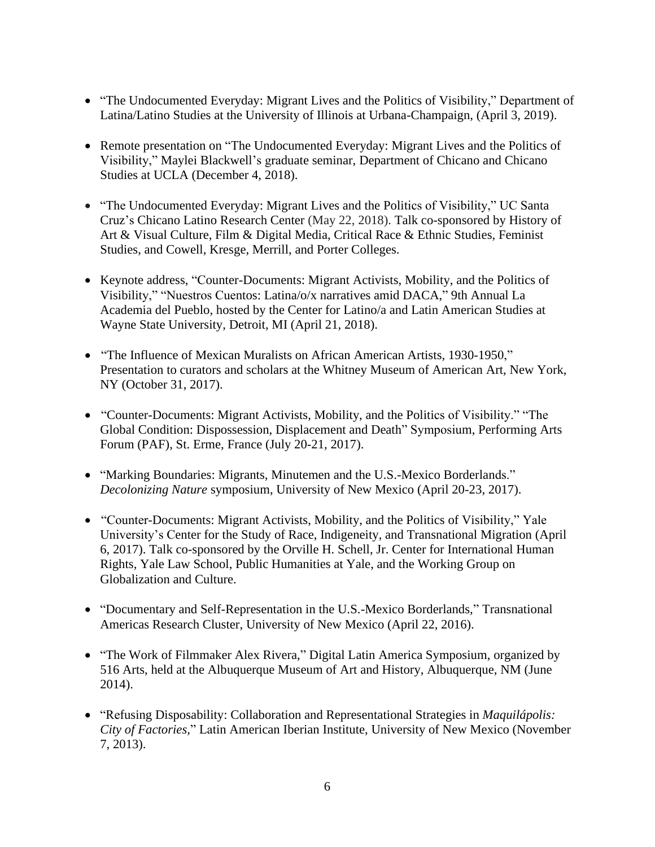- "The Undocumented Everyday: Migrant Lives and the Politics of Visibility," Department of Latina/Latino Studies at the University of Illinois at Urbana-Champaign, (April 3, 2019).
- Remote presentation on "The Undocumented Everyday: Migrant Lives and the Politics of Visibility," Maylei Blackwell's graduate seminar, Department of Chicano and Chicano Studies at UCLA (December 4, 2018).
- "The Undocumented Everyday: Migrant Lives and the Politics of Visibility," UC Santa Cruz's Chicano Latino Research Center (May 22, 2018). Talk co-sponsored by History of Art & Visual Culture, Film & Digital Media, Critical Race & Ethnic Studies, Feminist Studies, and Cowell, Kresge, Merrill, and Porter Colleges.
- Keynote address, "Counter-Documents: Migrant Activists, Mobility, and the Politics of Visibility," "Nuestros Cuentos: Latina/o/x narratives amid DACA," 9th Annual La Academia del Pueblo, hosted by the Center for Latino/a and Latin American Studies at Wayne State University, Detroit, MI (April 21, 2018).
- "The Influence of Mexican Muralists on African American Artists, 1930-1950," Presentation to curators and scholars at the Whitney Museum of American Art, New York, NY (October 31, 2017).
- "Counter-Documents: Migrant Activists, Mobility, and the Politics of Visibility." "The Global Condition: Dispossession, Displacement and Death" Symposium, Performing Arts Forum (PAF), St. Erme, France (July 20-21, 2017).
- "Marking Boundaries: Migrants, Minutemen and the U.S.-Mexico Borderlands." *Decolonizing Nature* symposium, University of New Mexico (April 20-23, 2017).
- "Counter-Documents: Migrant Activists, Mobility, and the Politics of Visibility," Yale University's Center for the Study of Race, Indigeneity, and Transnational Migration (April 6, 2017). Talk co-sponsored by the Orville H. Schell, Jr. Center for International Human Rights, Yale Law School, Public Humanities at Yale, and the Working Group on Globalization and Culture.
- "Documentary and Self-Representation in the U.S.-Mexico Borderlands," Transnational Americas Research Cluster, University of New Mexico (April 22, 2016).
- "The Work of Filmmaker Alex Rivera," Digital Latin America Symposium, organized by 516 Arts, held at the Albuquerque Museum of Art and History, Albuquerque, NM (June 2014).
- "Refusing Disposability: Collaboration and Representational Strategies in *Maquilápolis: City of Factories,*" Latin American Iberian Institute, University of New Mexico (November 7, 2013).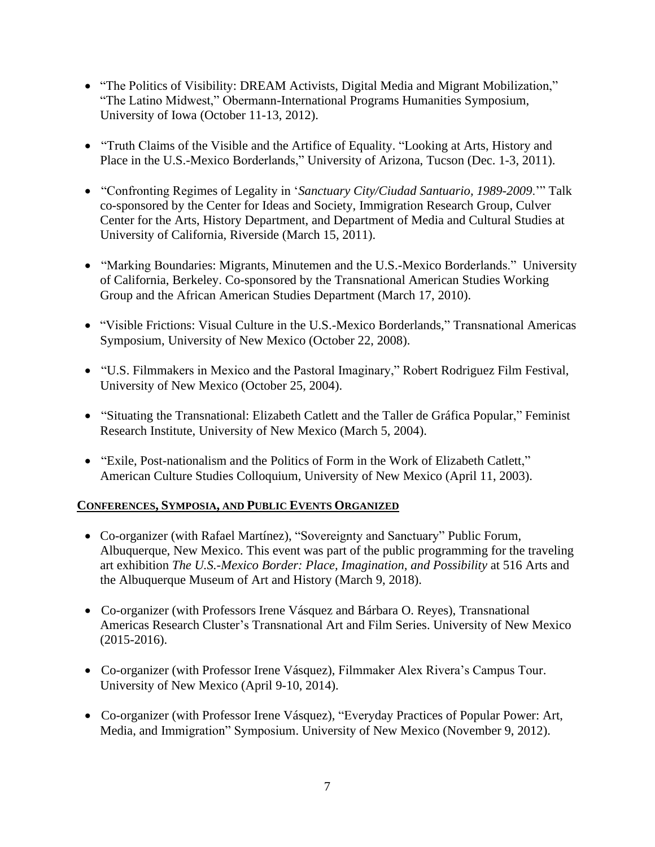- "The Politics of Visibility: DREAM Activists, Digital Media and Migrant Mobilization," "The Latino Midwest," Obermann-International Programs Humanities Symposium, University of Iowa (October 11-13, 2012).
- "Truth Claims of the Visible and the Artifice of Equality. "Looking at Arts, History and Place in the U.S.-Mexico Borderlands," University of Arizona, Tucson (Dec. 1-3, 2011).
- "Confronting Regimes of Legality in '*Sanctuary City/Ciudad Santuario, 1989-2009*.'" Talk co-sponsored by the Center for Ideas and Society, Immigration Research Group, Culver Center for the Arts, History Department, and Department of Media and Cultural Studies at University of California, Riverside (March 15, 2011).
- "Marking Boundaries: Migrants, Minutemen and the U.S.-Mexico Borderlands." University of California, Berkeley. Co-sponsored by the Transnational American Studies Working Group and the African American Studies Department (March 17, 2010).
- "Visible Frictions: Visual Culture in the U.S.-Mexico Borderlands," Transnational Americas Symposium, University of New Mexico (October 22, 2008).
- "U.S. Filmmakers in Mexico and the Pastoral Imaginary," Robert Rodriguez Film Festival, University of New Mexico (October 25, 2004).
- "Situating the Transnational: Elizabeth Catlett and the Taller de Gráfica Popular," Feminist Research Institute, University of New Mexico (March 5, 2004).
- "Exile, Post-nationalism and the Politics of Form in the Work of Elizabeth Catlett," American Culture Studies Colloquium, University of New Mexico (April 11, 2003).

## **CONFERENCES, SYMPOSIA, AND PUBLIC EVENTS ORGANIZED**

- Co-organizer (with Rafael Martínez), "Sovereignty and Sanctuary" Public Forum, Albuquerque, New Mexico. This event was part of the public programming for the traveling art exhibition *The U.S.-Mexico Border: Place, Imagination, and Possibility* at 516 Arts and the Albuquerque Museum of Art and History (March 9, 2018).
- Co-organizer (with Professors Irene Vásquez and Bárbara O. Reyes), Transnational Americas Research Cluster's Transnational Art and Film Series. University of New Mexico (2015-2016).
- Co-organizer (with Professor Irene Vásquez), Filmmaker Alex Rivera's Campus Tour. University of New Mexico (April 9-10, 2014).
- Co-organizer (with Professor Irene Vásquez), "Everyday Practices of Popular Power: Art, Media, and Immigration" Symposium. University of New Mexico (November 9, 2012).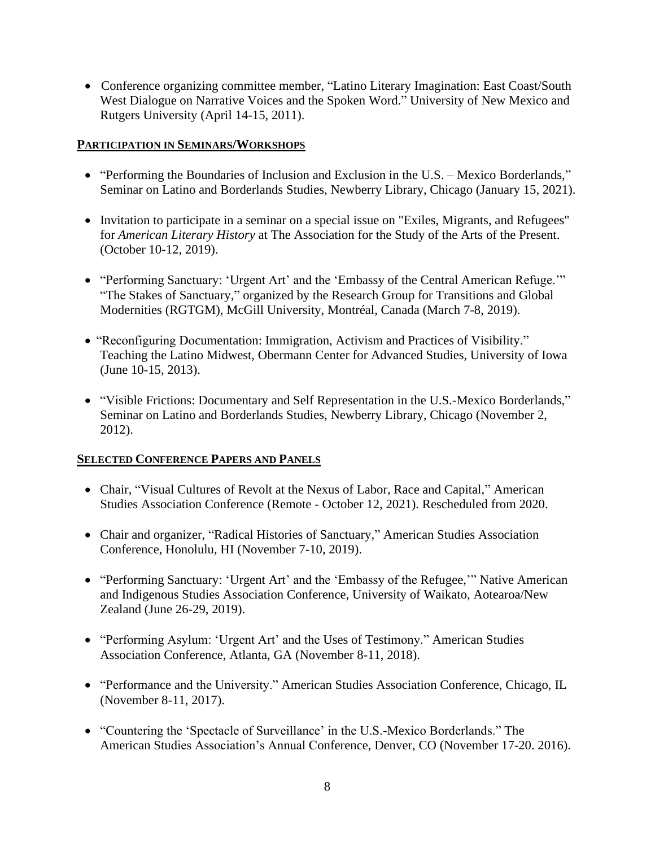• Conference organizing committee member, "Latino Literary Imagination: East Coast/South West Dialogue on Narrative Voices and the Spoken Word." University of New Mexico and Rutgers University (April 14-15, 2011).

### **PARTICIPATION IN SEMINARS/WORKSHOPS**

- "Performing the Boundaries of Inclusion and Exclusion in the U.S. Mexico Borderlands," Seminar on Latino and Borderlands Studies, Newberry Library, Chicago (January 15, 2021).
- Invitation to participate in a seminar on a special issue on "Exiles, Migrants, and Refugees" for *American Literary History* at The Association for the Study of the Arts of the Present. (October 10-12, 2019).
- "Performing Sanctuary: 'Urgent Art' and the 'Embassy of the Central American Refuge.'" "The Stakes of Sanctuary," organized by the Research Group for Transitions and Global Modernities (RGTGM), McGill University, Montréal, Canada (March 7-8, 2019).
- "Reconfiguring Documentation: Immigration, Activism and Practices of Visibility." Teaching the Latino Midwest, Obermann Center for Advanced Studies, University of Iowa (June 10-15, 2013).
- "Visible Frictions: Documentary and Self Representation in the U.S.-Mexico Borderlands," Seminar on Latino and Borderlands Studies, Newberry Library, Chicago (November 2, 2012).

## **SELECTED CONFERENCE PAPERS AND PANELS**

- Chair, "Visual Cultures of Revolt at the Nexus of Labor, Race and Capital," American Studies Association Conference (Remote - October 12, 2021). Rescheduled from 2020.
- Chair and organizer, "Radical Histories of Sanctuary," American Studies Association Conference, Honolulu, HI (November 7-10, 2019).
- "Performing Sanctuary: 'Urgent Art' and the 'Embassy of the Refugee,'" Native American and Indigenous Studies Association Conference, University of Waikato, Aotearoa/New Zealand (June 26-29, 2019).
- "Performing Asylum: 'Urgent Art' and the Uses of Testimony." American Studies Association Conference, Atlanta, GA (November 8-11, 2018).
- "Performance and the University." American Studies Association Conference, Chicago, IL (November 8-11, 2017).
- "Countering the 'Spectacle of Surveillance' in the U.S.-Mexico Borderlands." The American Studies Association's Annual Conference, Denver, CO (November 17-20. 2016).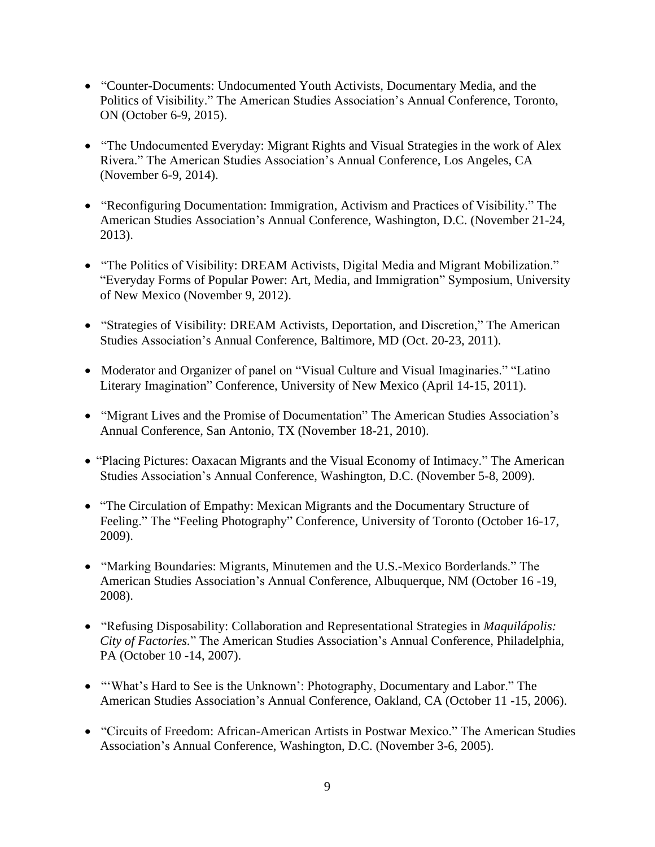- "Counter-Documents: Undocumented Youth Activists, Documentary Media, and the Politics of Visibility." The American Studies Association's Annual Conference, Toronto, ON (October 6-9, 2015).
- "The Undocumented Everyday: Migrant Rights and Visual Strategies in the work of Alex Rivera." The American Studies Association's Annual Conference, Los Angeles, CA (November 6-9, 2014).
- "Reconfiguring Documentation: Immigration, Activism and Practices of Visibility." The American Studies Association's Annual Conference, Washington, D.C. (November 21-24, 2013).
- "The Politics of Visibility: DREAM Activists, Digital Media and Migrant Mobilization." "Everyday Forms of Popular Power: Art, Media, and Immigration" Symposium, University of New Mexico (November 9, 2012).
- "Strategies of Visibility: DREAM Activists, Deportation, and Discretion," The American Studies Association's Annual Conference, Baltimore, MD (Oct. 20-23, 2011).
- Moderator and Organizer of panel on "Visual Culture and Visual Imaginaries." "Latino Literary Imagination" Conference, University of New Mexico (April 14-15, 2011).
- "Migrant Lives and the Promise of Documentation" The American Studies Association's Annual Conference, San Antonio, TX (November 18-21, 2010).
- "Placing Pictures: Oaxacan Migrants and the Visual Economy of Intimacy." The American Studies Association's Annual Conference, Washington, D.C. (November 5-8, 2009).
- "The Circulation of Empathy: Mexican Migrants and the Documentary Structure of Feeling." The "Feeling Photography" Conference, University of Toronto (October 16-17, 2009).
- "Marking Boundaries: Migrants, Minutemen and the U.S.-Mexico Borderlands." The American Studies Association's Annual Conference, Albuquerque, NM (October 16 -19, 2008).
- "Refusing Disposability: Collaboration and Representational Strategies in *Maquilápolis: City of Factories.*" The American Studies Association's Annual Conference, Philadelphia, PA (October 10 -14, 2007).
- "What's Hard to See is the Unknown': Photography, Documentary and Labor." The American Studies Association's Annual Conference, Oakland, CA (October 11 -15, 2006).
- "Circuits of Freedom: African-American Artists in Postwar Mexico." The American Studies Association's Annual Conference, Washington, D.C. (November 3-6, 2005).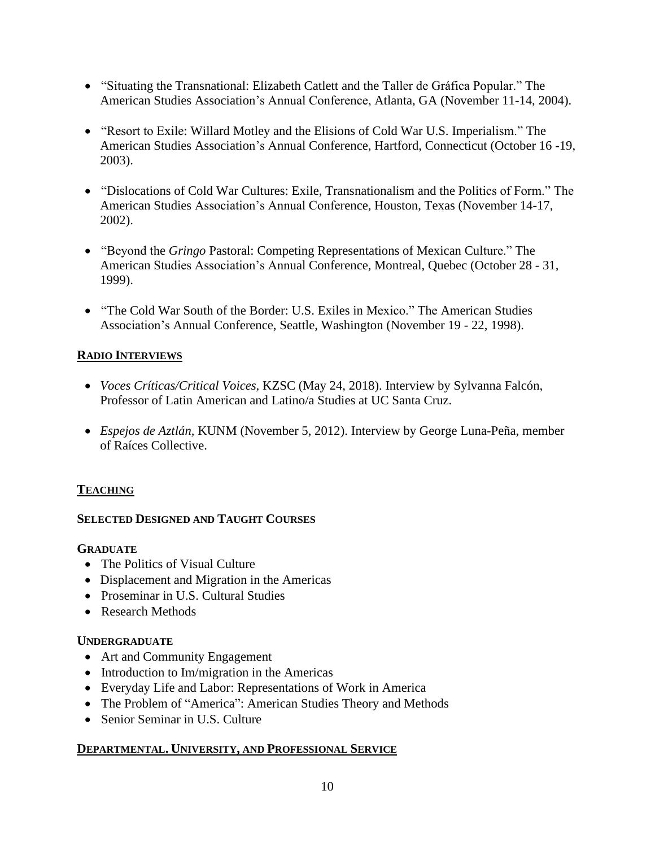- "Situating the Transnational: Elizabeth Catlett and the Taller de Gráfica Popular." The American Studies Association's Annual Conference, Atlanta, GA (November 11-14, 2004).
- "Resort to Exile: Willard Motley and the Elisions of Cold War U.S. Imperialism." The American Studies Association's Annual Conference, Hartford, Connecticut (October 16 -19, 2003).
- "Dislocations of Cold War Cultures: Exile, Transnationalism and the Politics of Form." The American Studies Association's Annual Conference, Houston, Texas (November 14-17, 2002).
- "Beyond the *Gringo* Pastoral: Competing Representations of Mexican Culture." The American Studies Association's Annual Conference, Montreal, Quebec (October 28 - 31, 1999).
- "The Cold War South of the Border: U.S. Exiles in Mexico." The American Studies Association's Annual Conference, Seattle, Washington (November 19 - 22, 1998).

## **RADIO INTERVIEWS**

- *Voces Críticas/Critical Voices,* KZSC (May 24, 2018). Interview by Sylvanna Falcón, Professor of Latin American and Latino/a Studies at UC Santa Cruz.
- *Espejos de Aztlán,* KUNM (November 5, 2012). Interview by George Luna-Peña, member of Raíces Collective.

#### **TEACHING**

#### **SELECTED DESIGNED AND TAUGHT COURSES**

#### **GRADUATE**

- The Politics of Visual Culture
- Displacement and Migration in the Americas
- Proseminar in U.S. Cultural Studies
- Research Methods

## **UNDERGRADUATE**

- Art and Community Engagement
- Introduction to Im/migration in the Americas
- Everyday Life and Labor: Representations of Work in America
- The Problem of "America": American Studies Theory and Methods
- Senior Seminar in U.S. Culture

## **DEPARTMENTAL. UNIVERSITY, AND PROFESSIONAL SERVICE**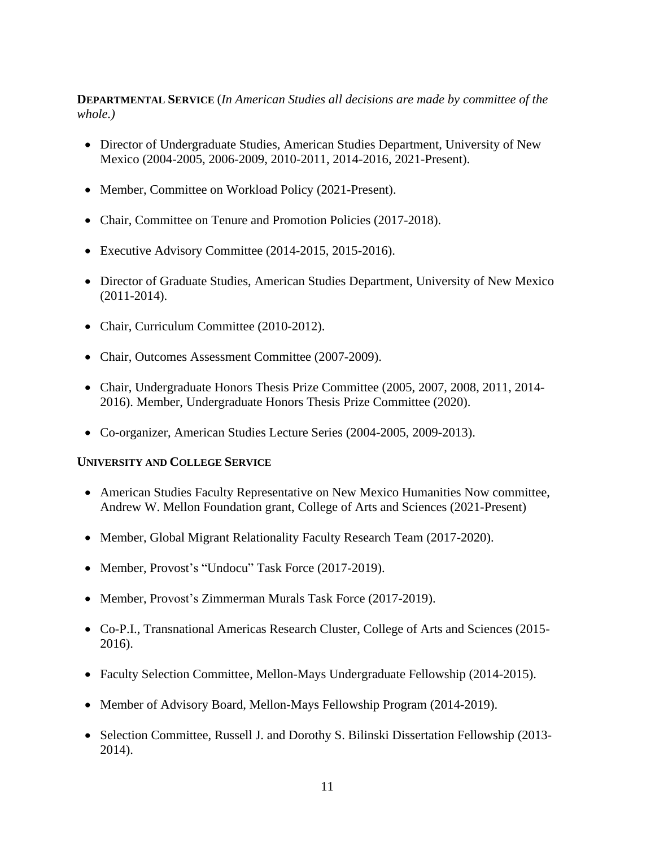**DEPARTMENTAL SERVICE** (*In American Studies all decisions are made by committee of the whole.)*

- Director of Undergraduate Studies, American Studies Department, University of New Mexico (2004-2005, 2006-2009, 2010-2011, 2014-2016, 2021-Present).
- Member, Committee on Workload Policy (2021-Present).
- Chair, Committee on Tenure and Promotion Policies (2017-2018).
- Executive Advisory Committee (2014-2015, 2015-2016).
- Director of Graduate Studies, American Studies Department, University of New Mexico (2011-2014).
- Chair, Curriculum Committee (2010-2012).
- Chair, Outcomes Assessment Committee (2007-2009).
- Chair, Undergraduate Honors Thesis Prize Committee (2005, 2007, 2008, 2011, 2014- 2016). Member, Undergraduate Honors Thesis Prize Committee (2020).
- Co-organizer, American Studies Lecture Series (2004-2005, 2009-2013).

#### **UNIVERSITY AND COLLEGE SERVICE**

- American Studies Faculty Representative on New Mexico Humanities Now committee, Andrew W. Mellon Foundation grant, College of Arts and Sciences (2021-Present)
- Member, Global Migrant Relationality Faculty Research Team (2017-2020).
- Member, Provost's "Undocu" Task Force (2017-2019).
- Member, Provost's Zimmerman Murals Task Force (2017-2019).
- Co-P.I., Transnational Americas Research Cluster, College of Arts and Sciences (2015- 2016).
- Faculty Selection Committee, Mellon-Mays Undergraduate Fellowship (2014-2015).
- Member of Advisory Board, Mellon-Mays Fellowship Program (2014-2019).
- Selection Committee, Russell J. and Dorothy S. Bilinski Dissertation Fellowship (2013- 2014).